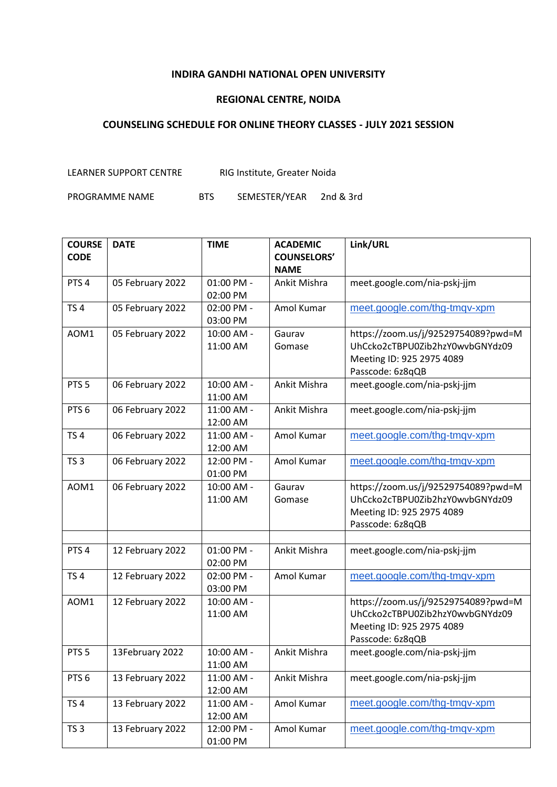## **INDIRA GANDHI NATIONAL OPEN UNIVERSITY**

## **REGIONAL CENTRE, NOIDA**

## **COUNSELING SCHEDULE FOR ONLINE THEORY CLASSES - JULY 2021 SESSION**

LEARNER SUPPORT CENTRE RIG Institute, Greater Noida

PROGRAMME NAME BTS SEMESTER/YEAR 2nd & 3rd

| <b>COURSE</b>    | <b>DATE</b>      | <b>TIME</b>            | <b>ACADEMIC</b>    | Link/URL                                                                                                                |
|------------------|------------------|------------------------|--------------------|-------------------------------------------------------------------------------------------------------------------------|
| <b>CODE</b>      |                  |                        | <b>COUNSELORS'</b> |                                                                                                                         |
|                  |                  |                        | <b>NAME</b>        |                                                                                                                         |
| PTS <sub>4</sub> | 05 February 2022 | 01:00 PM -<br>02:00 PM | Ankit Mishra       | meet.google.com/nia-pskj-jjm                                                                                            |
| TS <sub>4</sub>  | 05 February 2022 | 02:00 PM -<br>03:00 PM | Amol Kumar         | meet.google.com/thg-tmqv-xpm                                                                                            |
| AOM1             | 05 February 2022 | 10:00 AM -<br>11:00 AM | Gaurav<br>Gomase   | https://zoom.us/j/92529754089?pwd=M<br>UhCcko2cTBPU0Zib2hzY0wvbGNYdz09<br>Meeting ID: 925 2975 4089<br>Passcode: 6z8qQB |
| PTS <sub>5</sub> | 06 February 2022 | 10:00 AM -<br>11:00 AM | Ankit Mishra       | meet.google.com/nia-pskj-jjm                                                                                            |
| PTS <sub>6</sub> | 06 February 2022 | 11:00 AM -<br>12:00 AM | Ankit Mishra       | meet.google.com/nia-pskj-jjm                                                                                            |
| TS <sub>4</sub>  | 06 February 2022 | 11:00 AM -<br>12:00 AM | Amol Kumar         | meet.google.com/thg-tmgv-xpm                                                                                            |
| TS <sub>3</sub>  | 06 February 2022 | 12:00 PM -<br>01:00 PM | Amol Kumar         | meet.google.com/thg-tmgv-xpm                                                                                            |
| AOM1             | 06 February 2022 | 10:00 AM -<br>11:00 AM | Gaurav<br>Gomase   | https://zoom.us/j/92529754089?pwd=M<br>UhCcko2cTBPU0Zib2hzY0wvbGNYdz09<br>Meeting ID: 925 2975 4089<br>Passcode: 6z8qQB |
| PTS <sub>4</sub> | 12 February 2022 | 01:00 PM -<br>02:00 PM | Ankit Mishra       | meet.google.com/nia-pskj-jjm                                                                                            |
| <b>TS4</b>       | 12 February 2022 | 02:00 PM -<br>03:00 PM | Amol Kumar         | meet.google.com/thg-tmqv-xpm                                                                                            |
| AOM1             | 12 February 2022 | 10:00 AM -<br>11:00 AM |                    | https://zoom.us/j/92529754089?pwd=M<br>UhCcko2cTBPU0Zib2hzY0wvbGNYdz09<br>Meeting ID: 925 2975 4089<br>Passcode: 6z8qQB |
| PTS <sub>5</sub> | 13February 2022  | 10:00 AM -<br>11:00 AM | Ankit Mishra       | meet.google.com/nia-pskj-jjm                                                                                            |
| PTS <sub>6</sub> | 13 February 2022 | 11:00 AM -<br>12:00 AM | Ankit Mishra       | meet.google.com/nia-pskj-jjm                                                                                            |
| TS <sub>4</sub>  | 13 February 2022 | 11:00 AM -<br>12:00 AM | Amol Kumar         | meet.google.com/thg-tmqv-xpm                                                                                            |
| TS <sub>3</sub>  | 13 February 2022 | 12:00 PM -<br>01:00 PM | Amol Kumar         | meet.google.com/thg-tmqv-xpm                                                                                            |